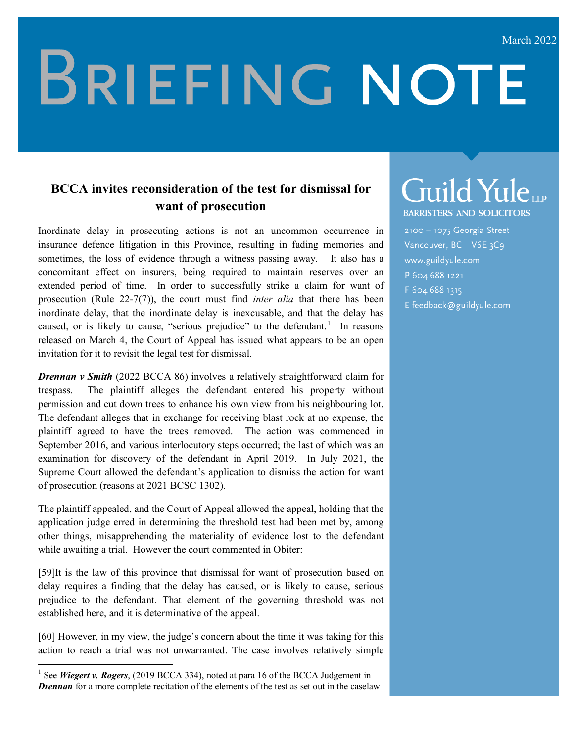# **BRIEFING NOTE**

#### **BCCA invites reconsideration of the test for dismissal for want of prosecution**

Inordinate delay in prosecuting actions is not an uncommon occurrence in insurance defence litigation in this Province, resulting in fading memories and sometimes, the loss of evidence through a witness passing away. It also has a concomitant effect on insurers, being required to maintain reserves over an extended period of time. In order to successfully strike a claim for want of prosecution (Rule 22-7(7)), the court must find *inter alia* that there has been inordinate delay, that the inordinate delay is inexcusable, and that the delay has caused, or is likely to cause, "serious prejudice" to the defendant.<sup>[1](#page-0-0)</sup> In reasons released on March 4, the Court of Appeal has issued what appears to be an open invitation for it to revisit the legal test for dismissal.

*Drennan v Smith* (2022 BCCA 86) involves a relatively straightforward claim for trespass. The plaintiff alleges the defendant entered his property without permission and cut down trees to enhance his own view from his neighbouring lot. The defendant alleges that in exchange for receiving blast rock at no expense, the plaintiff agreed to have the trees removed. The action was commenced in September 2016, and various interlocutory steps occurred; the last of which was an examination for discovery of the defendant in April 2019. In July 2021, the Supreme Court allowed the defendant's application to dismiss the action for want of prosecution (reasons at 2021 BCSC 1302).

The plaintiff appealed, and the Court of Appeal allowed the appeal, holding that the application judge erred in determining the threshold test had been met by, among other things, misapprehending the materiality of evidence lost to the defendant while awaiting a trial. However the court commented in Obiter:

[59]It is the law of this province that dismissal for want of prosecution based on delay requires a finding that the delay has caused, or is likely to cause, serious prejudice to the defendant. That element of the governing threshold was not established here, and it is determinative of the appeal.

[60] However, in my view, the judge's concern about the time it was taking for this action to reach a trial was not unwarranted. The case involves relatively simple

## Guild Yuleup

**BARRISTERS AND SOLICITORS** 

2100 - 1075 Georgia Street Vancouver, BC V6E3C9 www.guildyule.com P 604 688 1221 F 604 688 1315 E feedback@guildyule.com

<span id="page-0-0"></span><sup>&</sup>lt;sup>1</sup> See *Wiegert v. Rogers*, (2019 BCCA 334), noted at para 16 of the BCCA Judgement in *Drennan* for a more complete recitation of the elements of the test as set out in the caselaw